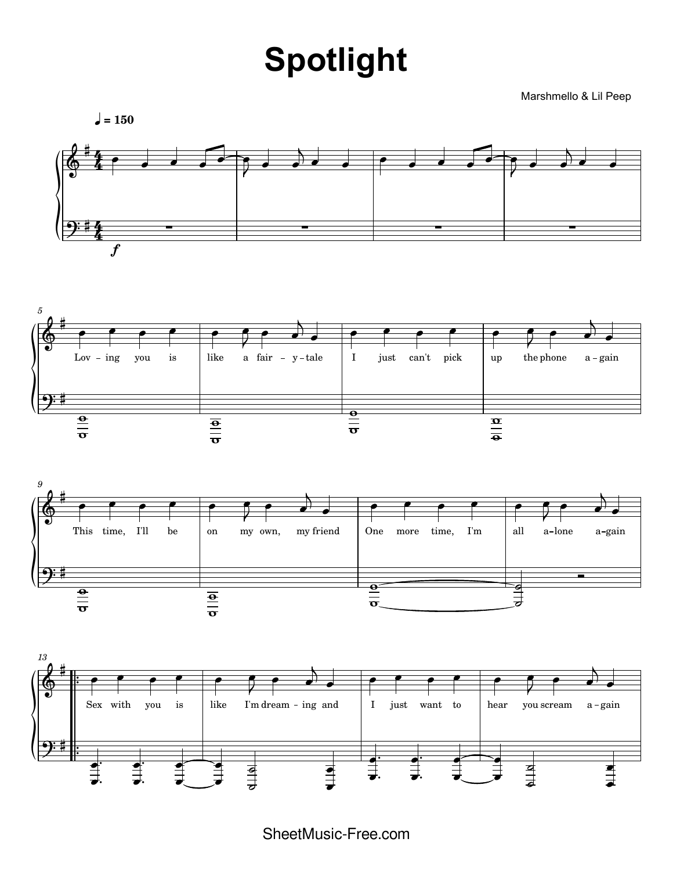## **Spotlight**

Marshmello & Lil Peep







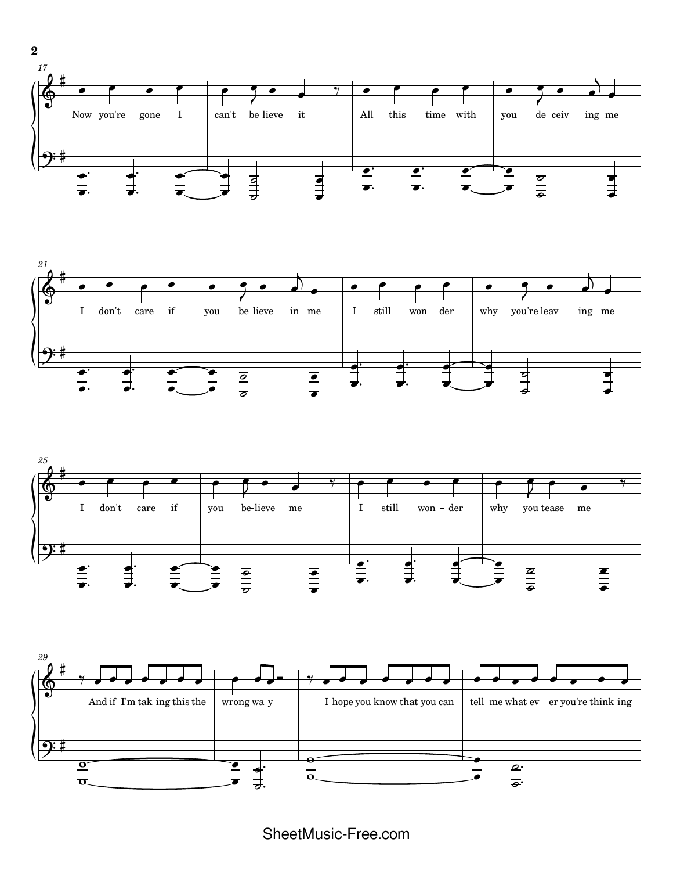





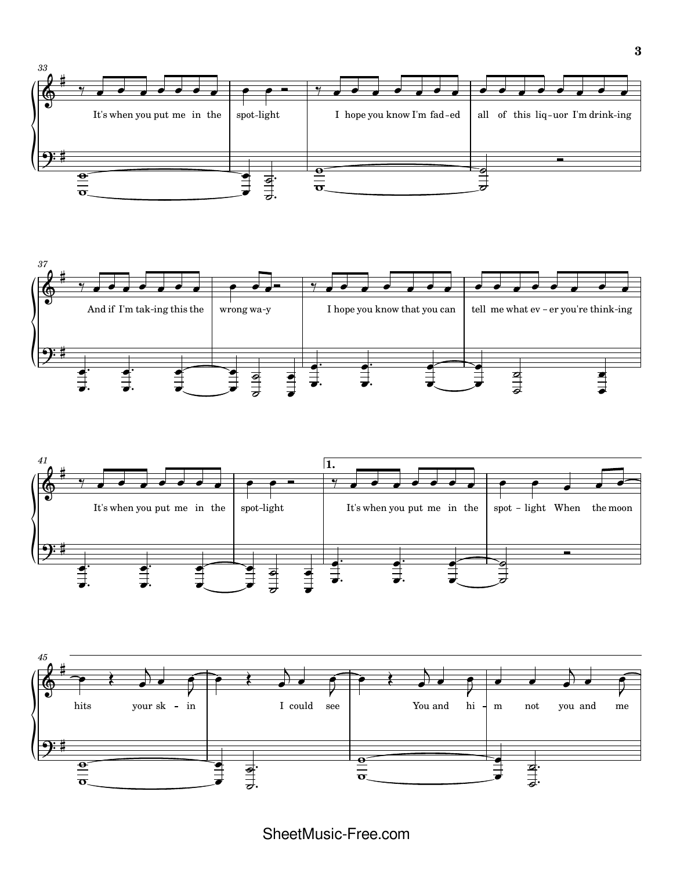





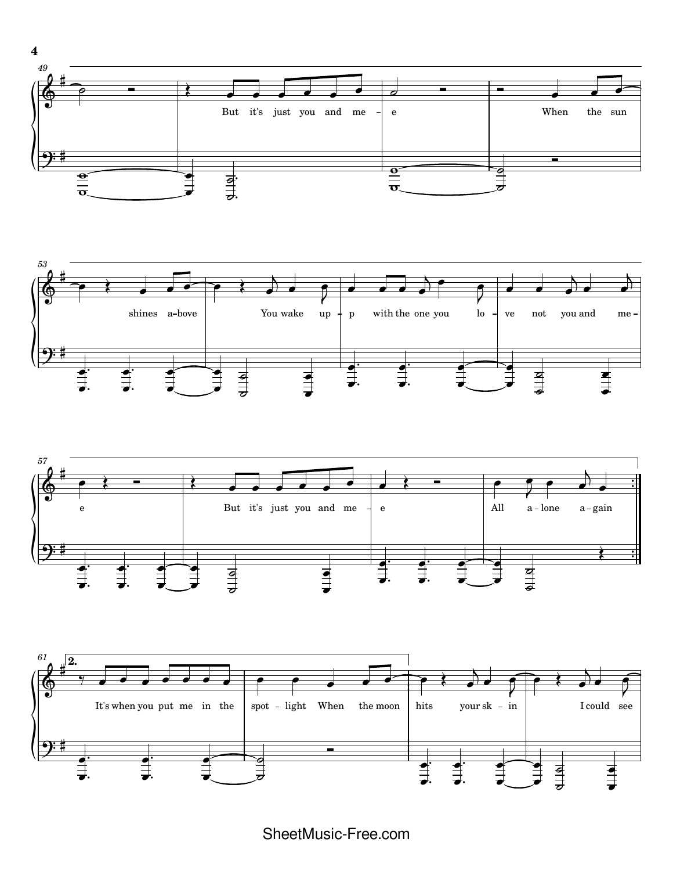